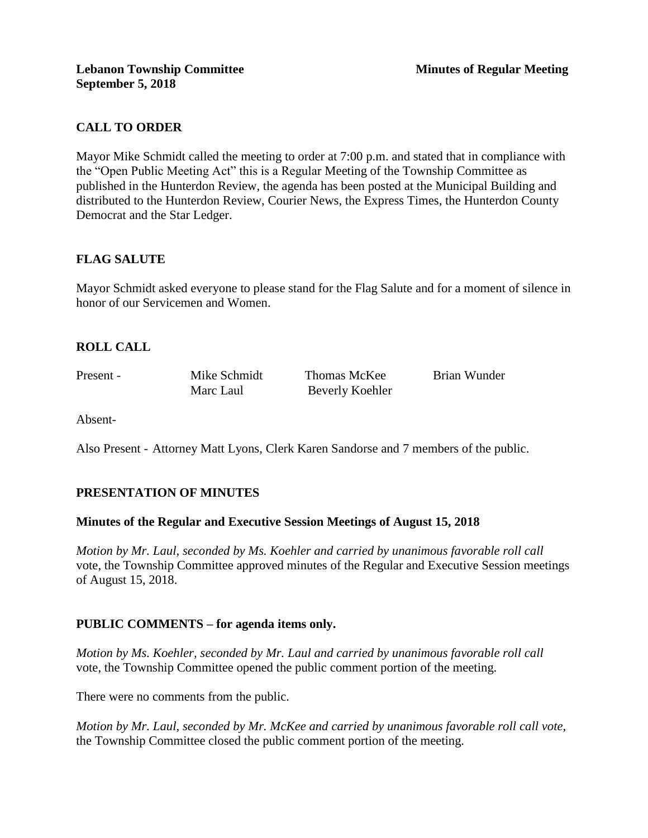# **CALL TO ORDER**

Mayor Mike Schmidt called the meeting to order at 7:00 p.m. and stated that in compliance with the "Open Public Meeting Act" this is a Regular Meeting of the Township Committee as published in the Hunterdon Review, the agenda has been posted at the Municipal Building and distributed to the Hunterdon Review, Courier News, the Express Times, the Hunterdon County Democrat and the Star Ledger.

# **FLAG SALUTE**

Mayor Schmidt asked everyone to please stand for the Flag Salute and for a moment of silence in honor of our Servicemen and Women.

# **ROLL CALL**

Present - Mike Schmidt Thomas McKee Brian Wunder Marc Laul Beverly Koehler

Absent-

Also Present - Attorney Matt Lyons, Clerk Karen Sandorse and 7 members of the public.

# **PRESENTATION OF MINUTES**

## **Minutes of the Regular and Executive Session Meetings of August 15, 2018**

*Motion by Mr. Laul, seconded by Ms. Koehler and carried by unanimous favorable roll call*  vote, the Township Committee approved minutes of the Regular and Executive Session meetings of August 15, 2018.

## **PUBLIC COMMENTS – for agenda items only.**

*Motion by Ms. Koehler, seconded by Mr. Laul and carried by unanimous favorable roll call*  vote, the Township Committee opened the public comment portion of the meeting.

There were no comments from the public.

*Motion by Mr. Laul, seconded by Mr. McKee and carried by unanimous favorable roll call vote,* the Township Committee closed the public comment portion of the meeting.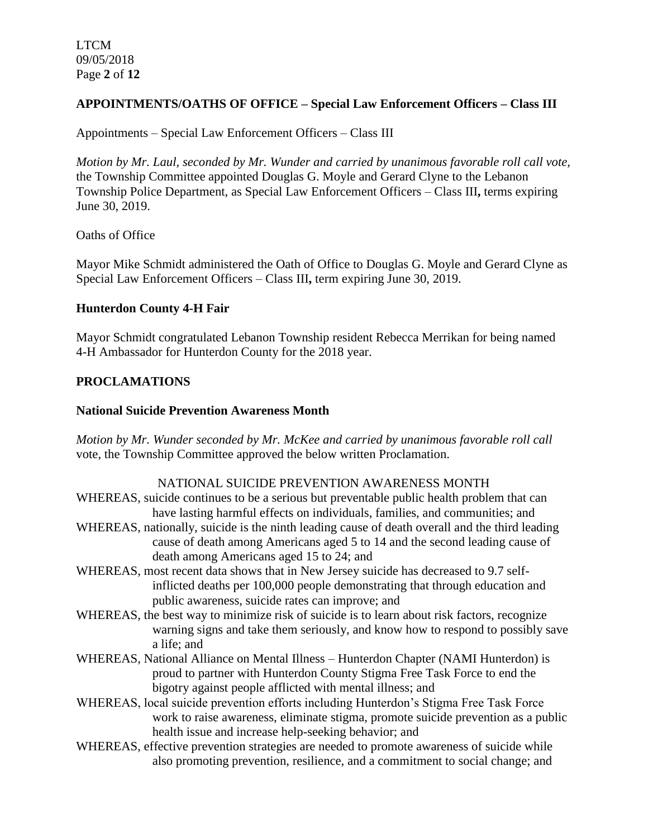LTCM 09/05/2018 Page **2** of **12**

# **APPOINTMENTS/OATHS OF OFFICE – Special Law Enforcement Officers – Class III**

Appointments – Special Law Enforcement Officers – Class III

*Motion by Mr. Laul, seconded by Mr. Wunder and carried by unanimous favorable roll call vote,* the Township Committee appointed Douglas G. Moyle and Gerard Clyne to the Lebanon Township Police Department, as Special Law Enforcement Officers – Class III**,** terms expiring June 30, 2019.

Oaths of Office

Mayor Mike Schmidt administered the Oath of Office to Douglas G. Moyle and Gerard Clyne as Special Law Enforcement Officers – Class III**,** term expiring June 30, 2019.

## **Hunterdon County 4-H Fair**

Mayor Schmidt congratulated Lebanon Township resident Rebecca Merrikan for being named 4-H Ambassador for Hunterdon County for the 2018 year.

## **PROCLAMATIONS**

## **National Suicide Prevention Awareness Month**

*Motion by Mr. Wunder seconded by Mr. McKee and carried by unanimous favorable roll call*  vote, the Township Committee approved the below written Proclamation.

## NATIONAL SUICIDE PREVENTION AWARENESS MONTH

- WHEREAS, suicide continues to be a serious but preventable public health problem that can have lasting harmful effects on individuals, families, and communities; and
- WHEREAS, nationally, suicide is the ninth leading cause of death overall and the third leading cause of death among Americans aged 5 to 14 and the second leading cause of death among Americans aged 15 to 24; and
- WHEREAS, most recent data shows that in New Jersey suicide has decreased to 9.7 selfinflicted deaths per 100,000 people demonstrating that through education and public awareness, suicide rates can improve; and
- WHEREAS, the best way to minimize risk of suicide is to learn about risk factors, recognize warning signs and take them seriously, and know how to respond to possibly save a life; and
- WHEREAS, National Alliance on Mental Illness Hunterdon Chapter (NAMI Hunterdon) is proud to partner with Hunterdon County Stigma Free Task Force to end the bigotry against people afflicted with mental illness; and
- WHEREAS, local suicide prevention efforts including Hunterdon's Stigma Free Task Force work to raise awareness, eliminate stigma, promote suicide prevention as a public health issue and increase help-seeking behavior; and
- WHEREAS, effective prevention strategies are needed to promote awareness of suicide while also promoting prevention, resilience, and a commitment to social change; and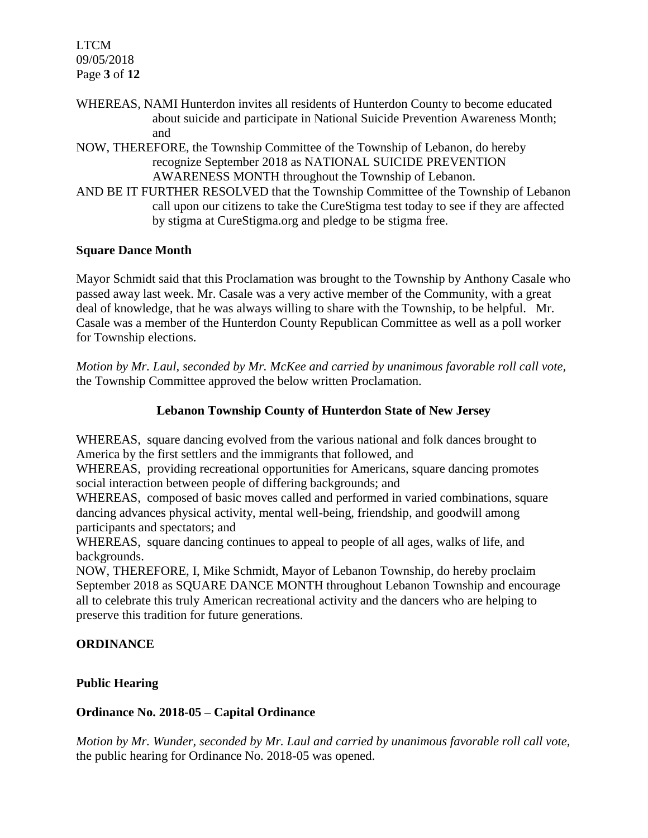LTCM 09/05/2018 Page **3** of **12**

- WHEREAS, NAMI Hunterdon invites all residents of Hunterdon County to become educated about suicide and participate in National Suicide Prevention Awareness Month; and
- NOW, THEREFORE, the Township Committee of the Township of Lebanon, do hereby recognize September 2018 as NATIONAL SUICIDE PREVENTION AWARENESS MONTH throughout the Township of Lebanon.
- AND BE IT FURTHER RESOLVED that the Township Committee of the Township of Lebanon call upon our citizens to take the CureStigma test today to see if they are affected by stigma at CureStigma.org and pledge to be stigma free.

# **Square Dance Month**

Mayor Schmidt said that this Proclamation was brought to the Township by Anthony Casale who passed away last week. Mr. Casale was a very active member of the Community, with a great deal of knowledge, that he was always willing to share with the Township, to be helpful. Mr. Casale was a member of the Hunterdon County Republican Committee as well as a poll worker for Township elections.

*Motion by Mr. Laul, seconded by Mr. McKee and carried by unanimous favorable roll call vote,*  the Township Committee approved the below written Proclamation.

# **Lebanon Township County of Hunterdon State of New Jersey**

WHEREAS, square dancing evolved from the various national and folk dances brought to America by the first settlers and the immigrants that followed, and

WHEREAS, providing recreational opportunities for Americans, square dancing promotes social interaction between people of differing backgrounds; and

WHEREAS, composed of basic moves called and performed in varied combinations, square dancing advances physical activity, mental well-being, friendship, and goodwill among participants and spectators; and

WHEREAS, square dancing continues to appeal to people of all ages, walks of life, and backgrounds.

NOW, THEREFORE, I, Mike Schmidt, Mayor of Lebanon Township, do hereby proclaim September 2018 as SQUARE DANCE MONTH throughout Lebanon Township and encourage all to celebrate this truly American recreational activity and the dancers who are helping to preserve this tradition for future generations.

# **ORDINANCE**

# **Public Hearing**

# **Ordinance No. 2018-05 – Capital Ordinance**

*Motion by Mr. Wunder, seconded by Mr. Laul and carried by unanimous favorable roll call vote,* the public hearing for Ordinance No. 2018-05 was opened.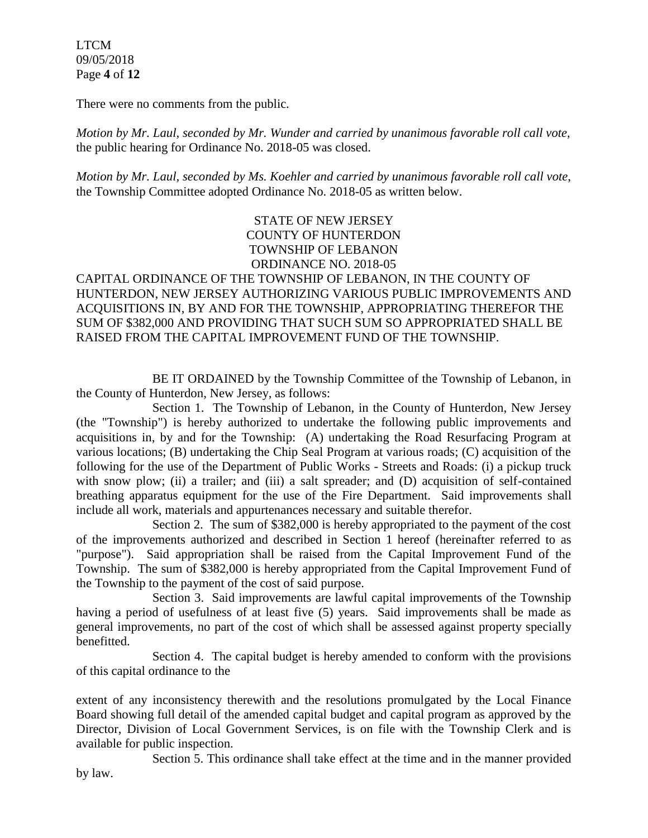LTCM 09/05/2018 Page **4** of **12**

There were no comments from the public*.*

*Motion by Mr. Laul, seconded by Mr. Wunder and carried by unanimous favorable roll call vote,* the public hearing for Ordinance No. 2018-05 was closed.

*Motion by Mr. Laul, seconded by Ms. Koehler and carried by unanimous favorable roll call vote,*  the Township Committee adopted Ordinance No. 2018-05 as written below.

> STATE OF NEW JERSEY COUNTY OF HUNTERDON TOWNSHIP OF LEBANON ORDINANCE NO. 2018-05

# CAPITAL ORDINANCE OF THE TOWNSHIP OF LEBANON, IN THE COUNTY OF HUNTERDON, NEW JERSEY AUTHORIZING VARIOUS PUBLIC IMPROVEMENTS AND ACQUISITIONS IN, BY AND FOR THE TOWNSHIP, APPROPRIATING THEREFOR THE SUM OF \$382,000 AND PROVIDING THAT SUCH SUM SO APPROPRIATED SHALL BE RAISED FROM THE CAPITAL IMPROVEMENT FUND OF THE TOWNSHIP.

BE IT ORDAINED by the Township Committee of the Township of Lebanon, in the County of Hunterdon, New Jersey, as follows:

Section 1. The Township of Lebanon, in the County of Hunterdon, New Jersey (the "Township") is hereby authorized to undertake the following public improvements and acquisitions in, by and for the Township: (A) undertaking the Road Resurfacing Program at various locations; (B) undertaking the Chip Seal Program at various roads; (C) acquisition of the following for the use of the Department of Public Works - Streets and Roads: (i) a pickup truck with snow plow; (ii) a trailer; and (iii) a salt spreader; and (D) acquisition of self-contained breathing apparatus equipment for the use of the Fire Department. Said improvements shall include all work, materials and appurtenances necessary and suitable therefor.

Section 2. The sum of \$382,000 is hereby appropriated to the payment of the cost of the improvements authorized and described in Section 1 hereof (hereinafter referred to as "purpose"). Said appropriation shall be raised from the Capital Improvement Fund of the Township. The sum of \$382,000 is hereby appropriated from the Capital Improvement Fund of the Township to the payment of the cost of said purpose.

Section 3. Said improvements are lawful capital improvements of the Township having a period of usefulness of at least five (5) years. Said improvements shall be made as general improvements, no part of the cost of which shall be assessed against property specially benefitted.

Section 4. The capital budget is hereby amended to conform with the provisions of this capital ordinance to the

extent of any inconsistency therewith and the resolutions promulgated by the Local Finance Board showing full detail of the amended capital budget and capital program as approved by the Director, Division of Local Government Services, is on file with the Township Clerk and is available for public inspection.

Section 5. This ordinance shall take effect at the time and in the manner provided by law.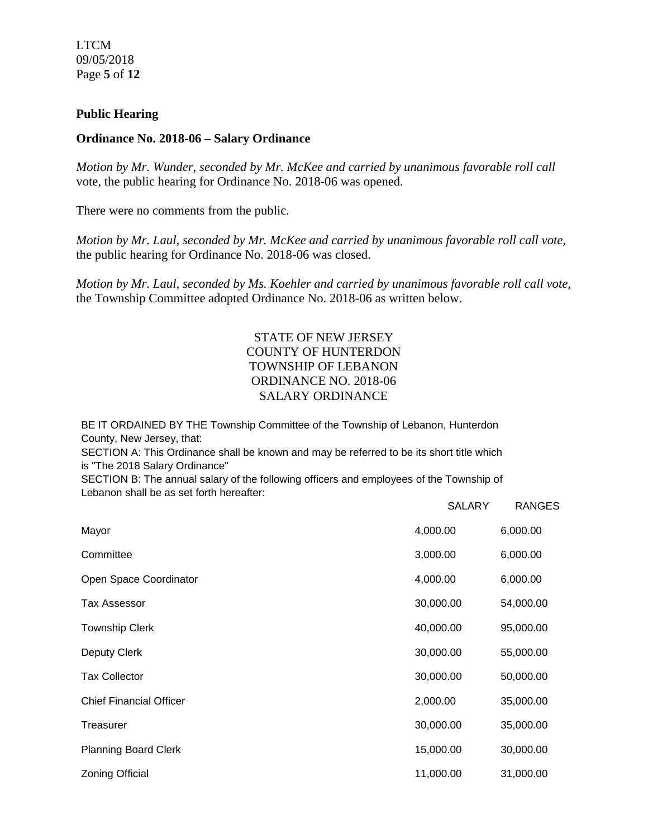LTCM 09/05/2018 Page **5** of **12**

## **Public Hearing**

### **Ordinance No. 2018-06 – Salary Ordinance**

*Motion by Mr. Wunder, seconded by Mr. McKee and carried by unanimous favorable roll call*  vote, the public hearing for Ordinance No. 2018-06 was opened.

There were no comments from the public*.*

*Motion by Mr. Laul, seconded by Mr. McKee and carried by unanimous favorable roll call vote,* the public hearing for Ordinance No. 2018-06 was closed.

*Motion by Mr. Laul, seconded by Ms. Koehler and carried by unanimous favorable roll call vote,*  the Township Committee adopted Ordinance No. 2018-06 as written below.

# STATE OF NEW JERSEY COUNTY OF HUNTERDON TOWNSHIP OF LEBANON ORDINANCE NO. 2018-06 SALARY ORDINANCE

BE IT ORDAINED BY THE Township Committee of the Township of Lebanon, Hunterdon County, New Jersey, that:

SECTION A: This Ordinance shall be known and may be referred to be its short title which is "The 2018 Salary Ordinance"

SECTION B: The annual salary of the following officers and employees of the Township of Lebanon shall be as set forth hereafter:

|                                | <b>SALARY</b> | <b>RANGES</b> |
|--------------------------------|---------------|---------------|
| Mayor                          | 4,000.00      | 6,000.00      |
| Committee                      | 3,000.00      | 6,000.00      |
| Open Space Coordinator         | 4,000.00      | 6,000.00      |
| Tax Assessor                   | 30,000.00     | 54,000.00     |
| <b>Township Clerk</b>          | 40,000.00     | 95,000.00     |
| Deputy Clerk                   | 30,000.00     | 55,000.00     |
| <b>Tax Collector</b>           | 30,000.00     | 50,000.00     |
| <b>Chief Financial Officer</b> | 2,000.00      | 35,000.00     |
| Treasurer                      | 30,000.00     | 35,000.00     |
| <b>Planning Board Clerk</b>    | 15,000.00     | 30,000.00     |
| <b>Zoning Official</b>         | 11,000.00     | 31,000.00     |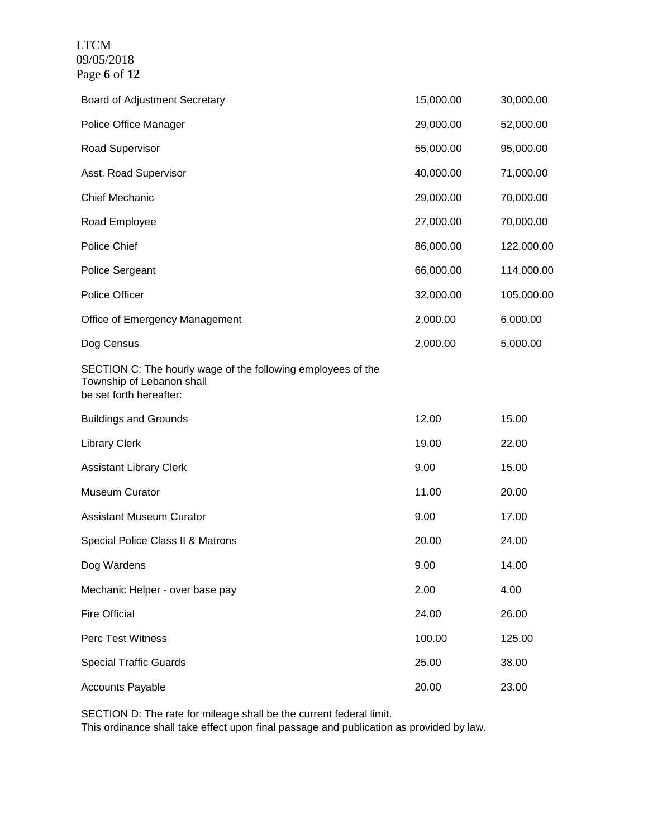LTCM 09/05/2018 Page **6** of **12**

| Board of Adjustment Secretary                                                                                        | 15,000.00 | 30,000.00  |
|----------------------------------------------------------------------------------------------------------------------|-----------|------------|
| Police Office Manager                                                                                                | 29,000.00 | 52,000.00  |
| Road Supervisor                                                                                                      | 55,000.00 | 95,000.00  |
| Asst. Road Supervisor                                                                                                | 40,000.00 | 71,000.00  |
| <b>Chief Mechanic</b>                                                                                                | 29,000.00 | 70,000.00  |
| Road Employee                                                                                                        | 27,000.00 | 70,000.00  |
| Police Chief                                                                                                         | 86,000.00 | 122,000.00 |
| Police Sergeant                                                                                                      | 66,000.00 | 114,000.00 |
| Police Officer                                                                                                       | 32,000.00 | 105,000.00 |
| Office of Emergency Management                                                                                       | 2,000.00  | 6,000.00   |
| Dog Census                                                                                                           | 2,000.00  | 5,000.00   |
| SECTION C: The hourly wage of the following employees of the<br>Township of Lebanon shall<br>be set forth hereafter: |           |            |
| <b>Buildings and Grounds</b>                                                                                         | 12.00     | 15.00      |
| <b>Library Clerk</b>                                                                                                 | 19.00     | 22.00      |
| <b>Assistant Library Clerk</b>                                                                                       | 9.00      | 15.00      |
| <b>Museum Curator</b>                                                                                                | 11.00     | 20.00      |
| <b>Assistant Museum Curator</b>                                                                                      | 9.00      | 17.00      |
| Special Police Class II & Matrons                                                                                    | 20.00     | 24.00      |
| Dog Wardens                                                                                                          | 9.00      | 14.00      |
| Mechanic Helper - over base pay                                                                                      | 2.00      | 4.00       |
| <b>Fire Official</b>                                                                                                 | 24.00     | 26.00      |
| Perc Test Witness                                                                                                    | 100.00    | 125.00     |
| <b>Special Traffic Guards</b>                                                                                        | 25.00     | 38.00      |
| <b>Accounts Payable</b>                                                                                              | 20.00     | 23.00      |

SECTION D: The rate for mileage shall be the current federal limit.

This ordinance shall take effect upon final passage and publication as provided by law.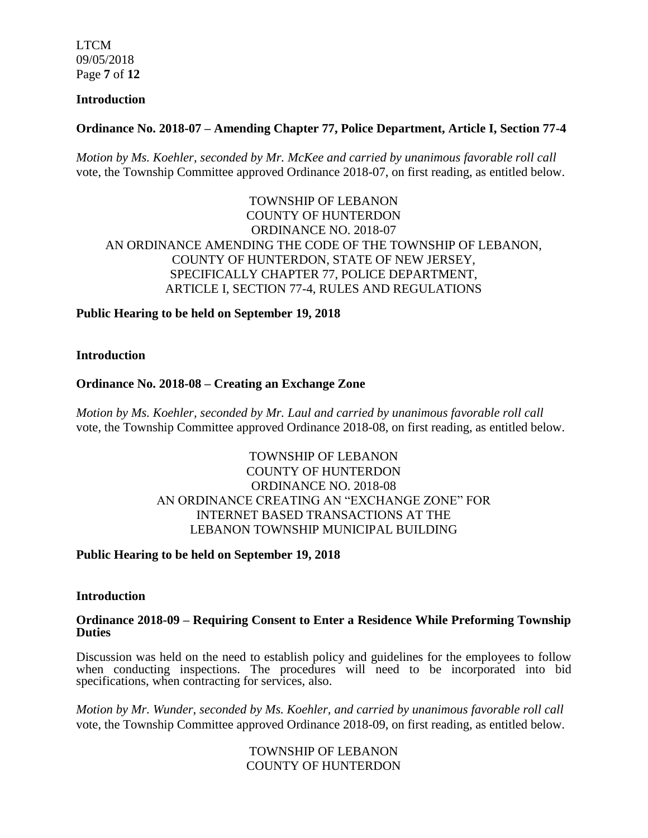LTCM 09/05/2018 Page **7** of **12**

### **Introduction**

# **Ordinance No. 2018-07 – Amending Chapter 77, Police Department, Article I, Section 77-4**

*Motion by Ms. Koehler, seconded by Mr. McKee and carried by unanimous favorable roll call*  vote, the Township Committee approved Ordinance 2018-07, on first reading, as entitled below.

TOWNSHIP OF LEBANON COUNTY OF HUNTERDON ORDINANCE NO. 2018-07 AN ORDINANCE AMENDING THE CODE OF THE TOWNSHIP OF LEBANON, COUNTY OF HUNTERDON, STATE OF NEW JERSEY, SPECIFICALLY CHAPTER 77, POLICE DEPARTMENT, ARTICLE I, SECTION 77-4, RULES AND REGULATIONS

## **Public Hearing to be held on September 19, 2018**

**Introduction**

## **Ordinance No. 2018-08 – Creating an Exchange Zone**

*Motion by Ms. Koehler, seconded by Mr. Laul and carried by unanimous favorable roll call*  vote, the Township Committee approved Ordinance 2018-08, on first reading, as entitled below.

# TOWNSHIP OF LEBANON COUNTY OF HUNTERDON ORDINANCE NO. 2018-08 AN ORDINANCE CREATING AN "EXCHANGE ZONE" FOR INTERNET BASED TRANSACTIONS AT THE LEBANON TOWNSHIP MUNICIPAL BUILDING

## **Public Hearing to be held on September 19, 2018**

#### **Introduction**

#### **Ordinance 2018-09 – Requiring Consent to Enter a Residence While Preforming Township Duties**

Discussion was held on the need to establish policy and guidelines for the employees to follow when conducting inspections. The procedures will need to be incorporated into bid specifications, when contracting for services, also.

*Motion by Mr. Wunder, seconded by Ms. Koehler, and carried by unanimous favorable roll call*  vote, the Township Committee approved Ordinance 2018-09, on first reading, as entitled below.

> TOWNSHIP OF LEBANON COUNTY OF HUNTERDON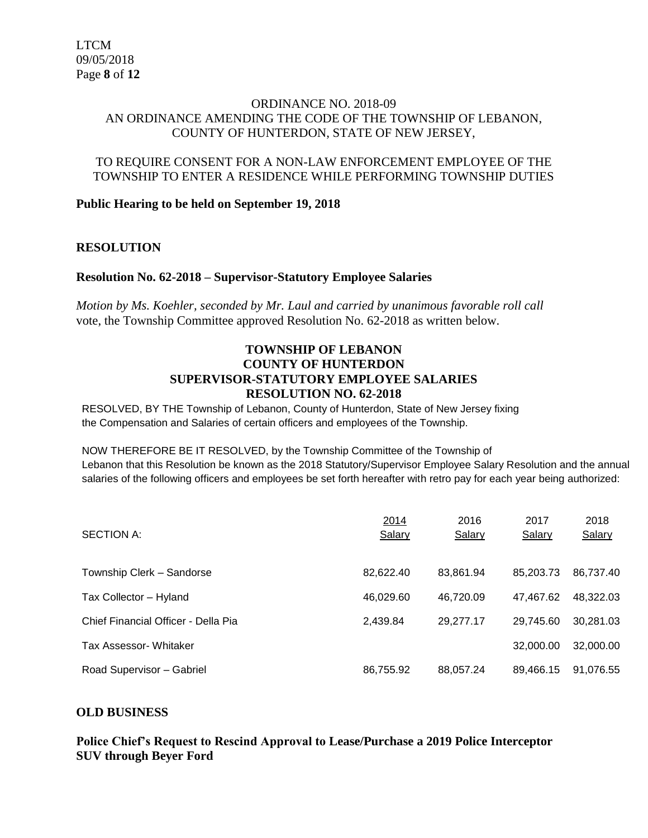## ORDINANCE NO. 2018-09 AN ORDINANCE AMENDING THE CODE OF THE TOWNSHIP OF LEBANON, COUNTY OF HUNTERDON, STATE OF NEW JERSEY,

## TO REQUIRE CONSENT FOR A NON-LAW ENFORCEMENT EMPLOYEE OF THE TOWNSHIP TO ENTER A RESIDENCE WHILE PERFORMING TOWNSHIP DUTIES

## **Public Hearing to be held on September 19, 2018**

## **RESOLUTION**

## **Resolution No. 62-2018 – Supervisor-Statutory Employee Salaries**

*Motion by Ms. Koehler, seconded by Mr. Laul and carried by unanimous favorable roll call*  vote, the Township Committee approved Resolution No. 62-2018 as written below.

## **TOWNSHIP OF LEBANON COUNTY OF HUNTERDON SUPERVISOR-STATUTORY EMPLOYEE SALARIES RESOLUTION NO. 62-2018**

RESOLVED, BY THE Township of Lebanon, County of Hunterdon, State of New Jersey fixing the Compensation and Salaries of certain officers and employees of the Township.

#### NOW THEREFORE BE IT RESOLVED, by the Township Committee of the Township of

Lebanon that this Resolution be known as the 2018 Statutory/Supervisor Employee Salary Resolution and the annual salaries of the following officers and employees be set forth hereafter with retro pay for each year being authorized:

| <b>SECTION A:</b>                   | 2014<br>Salary | 2016<br>Salary | 2017<br>Salary | 2018<br>Salary |
|-------------------------------------|----------------|----------------|----------------|----------------|
| Township Clerk - Sandorse           | 82.622.40      | 83,861.94      | 85.203.73      | 86,737.40      |
| Tax Collector - Hyland              | 46.029.60      | 46.720.09      | 47.467.62      | 48,322.03      |
| Chief Financial Officer - Della Pia | 2,439.84       | 29.277.17      | 29.745.60      | 30,281.03      |
| Tax Assessor- Whitaker              |                |                | 32,000.00      | 32,000.00      |
| Road Supervisor - Gabriel           | 86,755.92      | 88,057.24      | 89,466.15      | 91.076.55      |

## **OLD BUSINESS**

## **Police Chief's Request to Rescind Approval to Lease/Purchase a 2019 Police Interceptor SUV through Beyer Ford**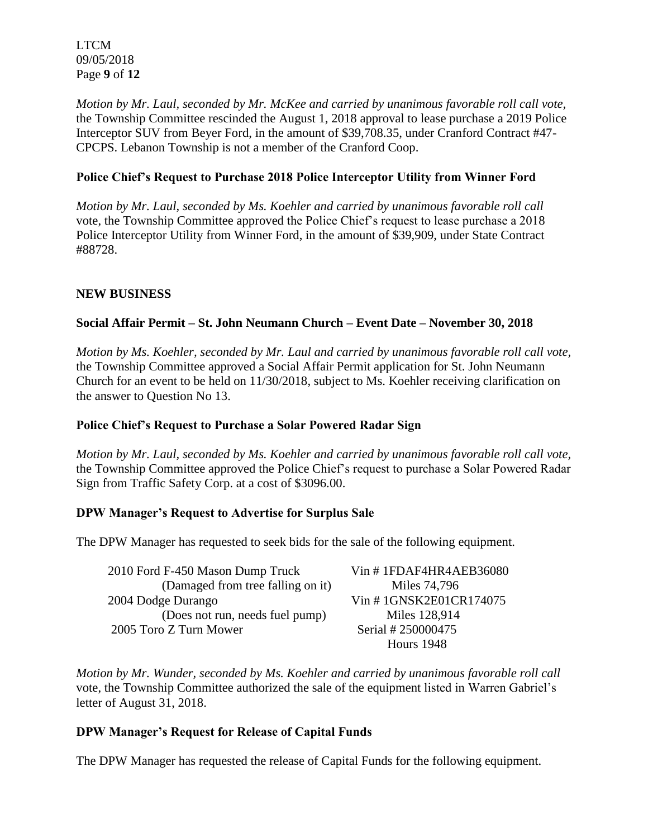LTCM 09/05/2018 Page **9** of **12**

*Motion by Mr. Laul, seconded by Mr. McKee and carried by unanimous favorable roll call vote,* the Township Committee rescinded the August 1, 2018 approval to lease purchase a 2019 Police Interceptor SUV from Beyer Ford, in the amount of \$39,708.35, under Cranford Contract #47- CPCPS. Lebanon Township is not a member of the Cranford Coop.

# **Police Chief's Request to Purchase 2018 Police Interceptor Utility from Winner Ford**

*Motion by Mr. Laul, seconded by Ms. Koehler and carried by unanimous favorable roll call*  vote, the Township Committee approved the Police Chief's request to lease purchase a 2018 Police Interceptor Utility from Winner Ford, in the amount of \$39,909, under State Contract #88728.

# **NEW BUSINESS**

# **Social Affair Permit – St. John Neumann Church – Event Date – November 30, 2018**

*Motion by Ms. Koehler, seconded by Mr. Laul and carried by unanimous favorable roll call vote,*  the Township Committee approved a Social Affair Permit application for St. John Neumann Church for an event to be held on 11/30/2018, subject to Ms. Koehler receiving clarification on the answer to Question No 13.

# **Police Chief's Request to Purchase a Solar Powered Radar Sign**

*Motion by Mr. Laul, seconded by Ms. Koehler and carried by unanimous favorable roll call vote,*  the Township Committee approved the Police Chief's request to purchase a Solar Powered Radar Sign from Traffic Safety Corp. at a cost of \$3096.00.

# **DPW Manager's Request to Advertise for Surplus Sale**

The DPW Manager has requested to seek bids for the sale of the following equipment.

| 2010 Ford F-450 Mason Dump Truck  | Vin #1FDAF4HR4AEB36080 |
|-----------------------------------|------------------------|
| (Damaged from tree falling on it) | Miles 74,796           |
| 2004 Dodge Durango                | Vin #1GNSK2E01CR174075 |
| (Does not run, needs fuel pump)   | Miles 128,914          |
| 2005 Toro Z Turn Mower            | Serial # 250000475     |
|                                   | <b>Hours</b> 1948      |

*Motion by Mr. Wunder, seconded by Ms. Koehler and carried by unanimous favorable roll call*  vote, the Township Committee authorized the sale of the equipment listed in Warren Gabriel's letter of August 31, 2018.

# **DPW Manager's Request for Release of Capital Funds**

The DPW Manager has requested the release of Capital Funds for the following equipment.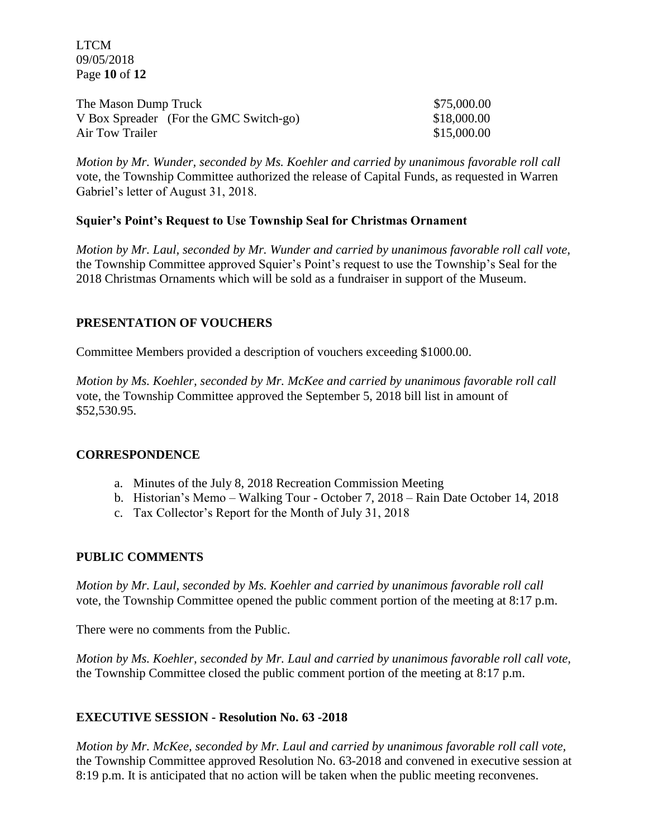LTCM 09/05/2018 Page **10** of **12**

| The Mason Dump Truck                   | \$75,000.00 |
|----------------------------------------|-------------|
| V Box Spreader (For the GMC Switch-go) | \$18,000.00 |
| Air Tow Trailer                        | \$15,000.00 |

*Motion by Mr. Wunder, seconded by Ms. Koehler and carried by unanimous favorable roll call*  vote, the Township Committee authorized the release of Capital Funds, as requested in Warren Gabriel's letter of August 31, 2018.

## **Squier's Point's Request to Use Township Seal for Christmas Ornament**

*Motion by Mr. Laul, seconded by Mr. Wunder and carried by unanimous favorable roll call vote,* the Township Committee approved Squier's Point's request to use the Township's Seal for the 2018 Christmas Ornaments which will be sold as a fundraiser in support of the Museum.

# **PRESENTATION OF VOUCHERS**

Committee Members provided a description of vouchers exceeding \$1000.00.

*Motion by Ms. Koehler, seconded by Mr. McKee and carried by unanimous favorable roll call*  vote, the Township Committee approved the September 5, 2018 bill list in amount of \$52,530.95.

## **CORRESPONDENCE**

- a. Minutes of the July 8, 2018 Recreation Commission Meeting
- b. Historian's Memo Walking Tour October 7, 2018 Rain Date October 14, 2018
- c. Tax Collector's Report for the Month of July 31, 2018

## **PUBLIC COMMENTS**

*Motion by Mr. Laul, seconded by Ms. Koehler and carried by unanimous favorable roll call*  vote, the Township Committee opened the public comment portion of the meeting at 8:17 p.m.

There were no comments from the Public.

*Motion by Ms. Koehler, seconded by Mr. Laul and carried by unanimous favorable roll call vote,* the Township Committee closed the public comment portion of the meeting at 8:17 p.m.

# **EXECUTIVE SESSION - Resolution No. 63 -2018**

*Motion by Mr. McKee, seconded by Mr. Laul and carried by unanimous favorable roll call vote,* the Township Committee approved Resolution No. 63-2018 and convened in executive session at 8:19 p.m. It is anticipated that no action will be taken when the public meeting reconvenes.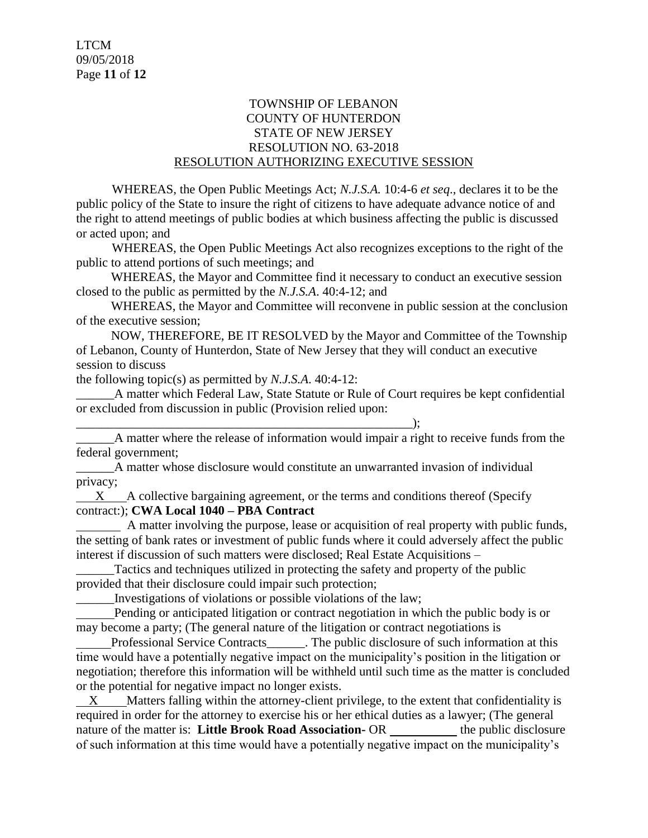# TOWNSHIP OF LEBANON COUNTY OF HUNTERDON STATE OF NEW JERSEY RESOLUTION NO. 63-2018 RESOLUTION AUTHORIZING EXECUTIVE SESSION

WHEREAS, the Open Public Meetings Act; *N.J.S.A.* 10:4-6 *et seq*., declares it to be the public policy of the State to insure the right of citizens to have adequate advance notice of and the right to attend meetings of public bodies at which business affecting the public is discussed or acted upon; and

WHEREAS, the Open Public Meetings Act also recognizes exceptions to the right of the public to attend portions of such meetings; and

 WHEREAS, the Mayor and Committee find it necessary to conduct an executive session closed to the public as permitted by the *N.J.S.A*. 40:4-12; and

 WHEREAS, the Mayor and Committee will reconvene in public session at the conclusion of the executive session;

 NOW, THEREFORE, BE IT RESOLVED by the Mayor and Committee of the Township of Lebanon, County of Hunterdon, State of New Jersey that they will conduct an executive session to discuss

the following topic(s) as permitted by *N.J.S.A*. 40:4-12:

\_\_\_\_\_\_A matter which Federal Law, State Statute or Rule of Court requires be kept confidential or excluded from discussion in public (Provision relied upon:

\_\_\_\_\_\_\_\_\_\_\_\_\_\_\_\_\_\_\_\_\_\_\_\_\_\_\_\_\_\_\_\_\_\_\_\_\_\_\_\_\_\_\_\_\_\_\_\_\_\_\_\_\_); A matter where the release of information would impair a right to receive funds from the federal government;

A matter whose disclosure would constitute an unwarranted invasion of individual privacy;

 $X$  A collective bargaining agreement, or the terms and conditions thereof (Specify contract:); **CWA Local 1040 – PBA Contract**

 A matter involving the purpose, lease or acquisition of real property with public funds, the setting of bank rates or investment of public funds where it could adversely affect the public interest if discussion of such matters were disclosed; Real Estate Acquisitions –

\_\_\_\_\_\_Tactics and techniques utilized in protecting the safety and property of the public provided that their disclosure could impair such protection;

\_\_\_\_\_\_Investigations of violations or possible violations of the law;

 Pending or anticipated litigation or contract negotiation in which the public body is or may become a party; (The general nature of the litigation or contract negotiations is

 Professional Service Contracts\_\_\_\_\_\_. The public disclosure of such information at this time would have a potentially negative impact on the municipality's position in the litigation or negotiation; therefore this information will be withheld until such time as the matter is concluded or the potential for negative impact no longer exists.

X Matters falling within the attorney-client privilege, to the extent that confidentiality is required in order for the attorney to exercise his or her ethical duties as a lawyer; (The general nature of the matter is: **Little Brook Road Association-** OR the public disclosure of such information at this time would have a potentially negative impact on the municipality's